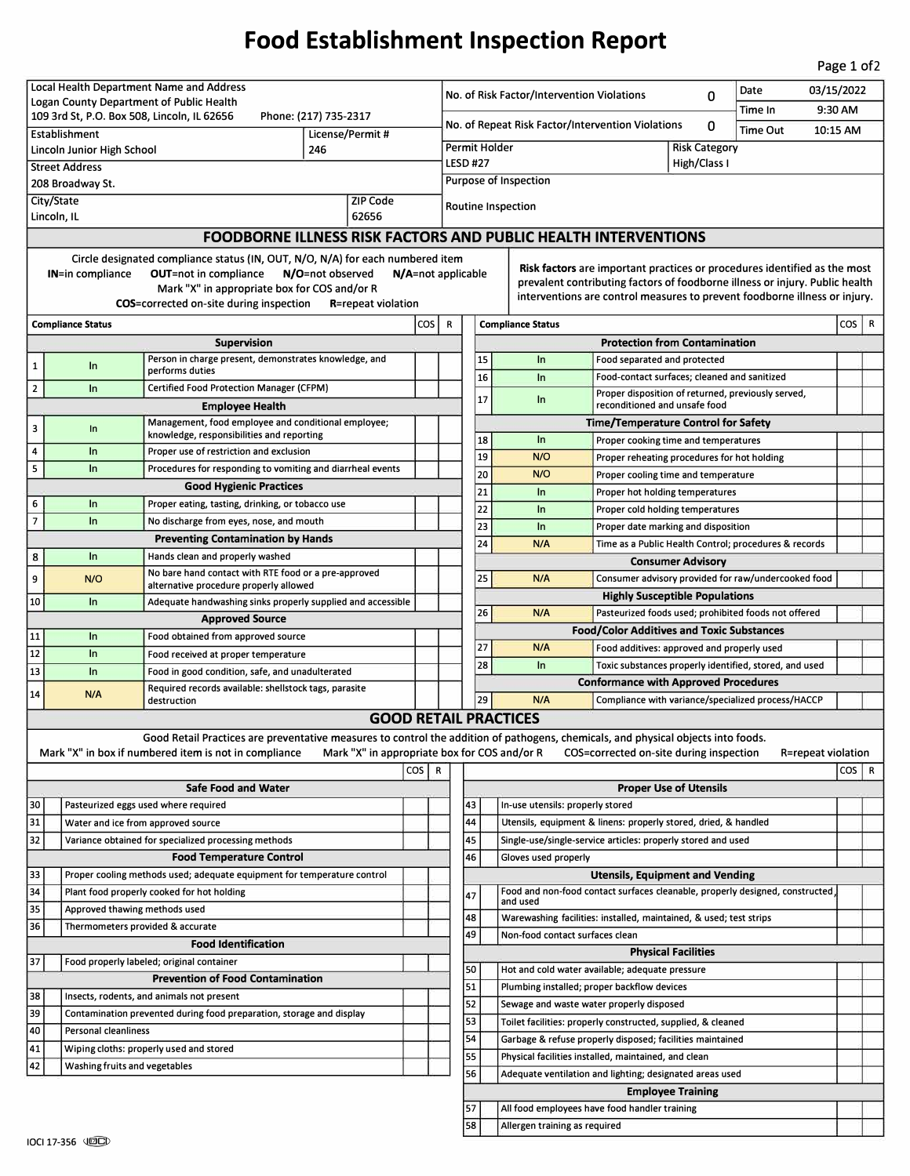## **Food Establishment Inspection Report**

Page 1 of2

| Local Health Department Name and Address                                                                                                          |                                                                             |                                                                                                                                   |                                              |  |                                                                                                                                       |                                                                                                |                                                                              | No. of Risk Factor/Intervention Violations |                                                                                                                         | 0 | Date | 03/15/2022         |            |  |
|---------------------------------------------------------------------------------------------------------------------------------------------------|-----------------------------------------------------------------------------|-----------------------------------------------------------------------------------------------------------------------------------|----------------------------------------------|--|---------------------------------------------------------------------------------------------------------------------------------------|------------------------------------------------------------------------------------------------|------------------------------------------------------------------------------|--------------------------------------------|-------------------------------------------------------------------------------------------------------------------------|---|------|--------------------|------------|--|
| Logan County Department of Public Health<br>109 3rd St, P.O. Box 508, Lincoln, IL 62656<br>Phone: (217) 735-2317                                  |                                                                             |                                                                                                                                   |                                              |  |                                                                                                                                       | Time In                                                                                        |                                                                              |                                            |                                                                                                                         |   |      |                    | 9:30 AM    |  |
| Establishment<br>License/Permit#                                                                                                                  |                                                                             |                                                                                                                                   |                                              |  |                                                                                                                                       | No. of Repeat Risk Factor/Intervention Violations<br>0<br><b>Time Out</b>                      |                                                                              |                                            |                                                                                                                         |   |      |                    | 10:15 AM   |  |
| Lincoln Junior High School<br>246                                                                                                                 |                                                                             |                                                                                                                                   |                                              |  |                                                                                                                                       | Permit Holder<br><b>Risk Category</b>                                                          |                                                                              |                                            |                                                                                                                         |   |      |                    |            |  |
| <b>Street Address</b>                                                                                                                             |                                                                             |                                                                                                                                   |                                              |  |                                                                                                                                       | <b>LESD #27</b><br>High/Class I                                                                |                                                                              |                                            |                                                                                                                         |   |      |                    |            |  |
| 208 Broadway St.                                                                                                                                  |                                                                             |                                                                                                                                   |                                              |  |                                                                                                                                       | Purpose of Inspection                                                                          |                                                                              |                                            |                                                                                                                         |   |      |                    |            |  |
| City/State<br>ZIP Code                                                                                                                            |                                                                             |                                                                                                                                   |                                              |  |                                                                                                                                       | <b>Routine Inspection</b>                                                                      |                                                                              |                                            |                                                                                                                         |   |      |                    |            |  |
| Lincoln, IL<br>62656                                                                                                                              |                                                                             |                                                                                                                                   |                                              |  |                                                                                                                                       |                                                                                                | <b>FOODBORNE ILLNESS RISK FACTORS AND PUBLIC HEALTH INTERVENTIONS</b>        |                                            |                                                                                                                         |   |      |                    |            |  |
|                                                                                                                                                   |                                                                             |                                                                                                                                   |                                              |  |                                                                                                                                       |                                                                                                |                                                                              |                                            |                                                                                                                         |   |      |                    |            |  |
| Circle designated compliance status (IN, OUT, N/O, N/A) for each numbered item                                                                    |                                                                             |                                                                                                                                   |                                              |  |                                                                                                                                       |                                                                                                |                                                                              |                                            | Risk factors are important practices or procedures identified as the most                                               |   |      |                    |            |  |
| N/O=not observed<br><b>IN=in compliance</b><br><b>OUT=not in compliance</b><br>N/A=not applicable<br>Mark "X" in appropriate box for COS and/or R |                                                                             |                                                                                                                                   |                                              |  |                                                                                                                                       |                                                                                                | prevalent contributing factors of foodborne illness or injury. Public health |                                            |                                                                                                                         |   |      |                    |            |  |
| <b>COS</b> =corrected on-site during inspection<br><b>R</b> =repeat violation                                                                     |                                                                             |                                                                                                                                   |                                              |  |                                                                                                                                       |                                                                                                | interventions are control measures to prevent foodborne illness or injury.   |                                            |                                                                                                                         |   |      |                    |            |  |
| $\cos$<br><b>Compliance Status</b>                                                                                                                |                                                                             |                                                                                                                                   |                                              |  |                                                                                                                                       |                                                                                                |                                                                              | <b>Compliance Status</b>                   |                                                                                                                         |   |      |                    | $\cos   R$ |  |
|                                                                                                                                                   |                                                                             | <b>Supervision</b>                                                                                                                |                                              |  |                                                                                                                                       |                                                                                                |                                                                              |                                            | <b>Protection from Contamination</b>                                                                                    |   |      |                    |            |  |
| 1                                                                                                                                                 | In                                                                          | Person in charge present, demonstrates knowledge, and                                                                             |                                              |  |                                                                                                                                       |                                                                                                | 15                                                                           | <b>In</b>                                  | Food separated and protected                                                                                            |   |      |                    |            |  |
|                                                                                                                                                   |                                                                             | performs duties                                                                                                                   |                                              |  |                                                                                                                                       |                                                                                                | 16                                                                           | In                                         | Food-contact surfaces; cleaned and sanitized                                                                            |   |      |                    |            |  |
| $\overline{2}$                                                                                                                                    | In                                                                          | Certified Food Protection Manager (CFPM)                                                                                          |                                              |  |                                                                                                                                       |                                                                                                | 17                                                                           | <b>In</b>                                  | Proper disposition of returned, previously served,                                                                      |   |      |                    |            |  |
|                                                                                                                                                   |                                                                             | <b>Employee Health</b>                                                                                                            |                                              |  |                                                                                                                                       |                                                                                                |                                                                              |                                            | reconditioned and unsafe food                                                                                           |   |      |                    |            |  |
| 3                                                                                                                                                 | In                                                                          | Management, food employee and conditional employee;<br>knowledge, responsibilities and reporting                                  |                                              |  |                                                                                                                                       | <b>Time/Temperature Control for Safety</b><br>18<br>In<br>Proper cooking time and temperatures |                                                                              |                                            |                                                                                                                         |   |      |                    |            |  |
| 4                                                                                                                                                 | In                                                                          | Proper use of restriction and exclusion                                                                                           |                                              |  |                                                                                                                                       |                                                                                                | 19                                                                           | N/O                                        | Proper reheating procedures for hot holding                                                                             |   |      |                    |            |  |
| 5                                                                                                                                                 | In                                                                          | Procedures for responding to vomiting and diarrheal events                                                                        |                                              |  |                                                                                                                                       |                                                                                                | 20                                                                           | N/O                                        | Proper cooling time and temperature                                                                                     |   |      |                    |            |  |
|                                                                                                                                                   |                                                                             | <b>Good Hygienic Practices</b>                                                                                                    |                                              |  |                                                                                                                                       |                                                                                                | 21                                                                           | In                                         | Proper hot holding temperatures                                                                                         |   |      |                    |            |  |
| 6                                                                                                                                                 | In                                                                          | Proper eating, tasting, drinking, or tobacco use                                                                                  |                                              |  |                                                                                                                                       |                                                                                                | 22                                                                           | $\ln$                                      | Proper cold holding temperatures                                                                                        |   |      |                    |            |  |
| $\overline{7}$                                                                                                                                    | ln                                                                          | No discharge from eyes, nose, and mouth                                                                                           |                                              |  |                                                                                                                                       |                                                                                                | 23                                                                           | In                                         | Proper date marking and disposition                                                                                     |   |      |                    |            |  |
|                                                                                                                                                   |                                                                             | <b>Preventing Contamination by Hands</b>                                                                                          |                                              |  |                                                                                                                                       |                                                                                                | 24                                                                           | N/A                                        | Time as a Public Health Control; procedures & records                                                                   |   |      |                    |            |  |
| 8                                                                                                                                                 | In                                                                          | Hands clean and properly washed                                                                                                   |                                              |  |                                                                                                                                       |                                                                                                |                                                                              |                                            | <b>Consumer Advisory</b>                                                                                                |   |      |                    |            |  |
| 9                                                                                                                                                 | N/O                                                                         | No bare hand contact with RTE food or a pre-approved<br>alternative procedure properly allowed                                    |                                              |  |                                                                                                                                       |                                                                                                | 25                                                                           | N/A                                        | Consumer advisory provided for raw/undercooked food                                                                     |   |      |                    |            |  |
| 10<br>In<br>Adequate handwashing sinks properly supplied and accessible                                                                           |                                                                             |                                                                                                                                   |                                              |  |                                                                                                                                       |                                                                                                |                                                                              |                                            | <b>Highly Susceptible Populations</b>                                                                                   |   |      |                    |            |  |
|                                                                                                                                                   |                                                                             | <b>Approved Source</b>                                                                                                            |                                              |  |                                                                                                                                       |                                                                                                | 26                                                                           | N/A                                        | Pasteurized foods used; prohibited foods not offered                                                                    |   |      |                    |            |  |
| 11                                                                                                                                                | In                                                                          | Food obtained from approved source                                                                                                |                                              |  |                                                                                                                                       |                                                                                                |                                                                              |                                            | <b>Food/Color Additives and Toxic Substances</b>                                                                        |   |      |                    |            |  |
| 12                                                                                                                                                | In                                                                          | Food received at proper temperature                                                                                               |                                              |  |                                                                                                                                       |                                                                                                | 27<br>28                                                                     | N/A<br>In                                  | Food additives: approved and properly used                                                                              |   |      |                    |            |  |
| 13                                                                                                                                                | In                                                                          | Food in good condition, safe, and unadulterated                                                                                   |                                              |  |                                                                                                                                       |                                                                                                |                                                                              |                                            | Toxic substances properly identified, stored, and used<br><b>Conformance with Approved Procedures</b>                   |   |      |                    |            |  |
| 14                                                                                                                                                | N/A                                                                         | Required records available: shellstock tags, parasite<br>destruction                                                              |                                              |  |                                                                                                                                       |                                                                                                | 29                                                                           | N/A                                        | Compliance with variance/specialized process/HACCP                                                                      |   |      |                    |            |  |
|                                                                                                                                                   |                                                                             |                                                                                                                                   |                                              |  |                                                                                                                                       |                                                                                                |                                                                              | <b>GOOD RETAIL PRACTICES</b>               |                                                                                                                         |   |      |                    |            |  |
|                                                                                                                                                   |                                                                             | Good Retail Practices are preventative measures to control the addition of pathogens, chemicals, and physical objects into foods. |                                              |  |                                                                                                                                       |                                                                                                |                                                                              |                                            |                                                                                                                         |   |      |                    |            |  |
|                                                                                                                                                   |                                                                             | Mark "X" in box if numbered item is not in compliance                                                                             | Mark "X" in appropriate box for COS and/or R |  |                                                                                                                                       |                                                                                                |                                                                              |                                            | COS=corrected on-site during inspection                                                                                 |   |      | R=repeat violation |            |  |
| $\cos   R$                                                                                                                                        |                                                                             |                                                                                                                                   |                                              |  |                                                                                                                                       |                                                                                                |                                                                              |                                            |                                                                                                                         |   |      |                    | $\cos   R$ |  |
| <b>Safe Food and Water</b>                                                                                                                        |                                                                             |                                                                                                                                   |                                              |  |                                                                                                                                       |                                                                                                |                                                                              |                                            | <b>Proper Use of Utensils</b>                                                                                           |   |      |                    |            |  |
| 30                                                                                                                                                | Pasteurized eggs used where required                                        |                                                                                                                                   |                                              |  | 43<br>In-use utensils: properly stored                                                                                                |                                                                                                |                                                                              |                                            |                                                                                                                         |   |      |                    |            |  |
| 31                                                                                                                                                | Water and ice from approved source                                          |                                                                                                                                   |                                              |  |                                                                                                                                       |                                                                                                | 44<br>Utensils, equipment & linens: properly stored, dried, & handled        |                                            |                                                                                                                         |   |      |                    |            |  |
| 32                                                                                                                                                | Variance obtained for specialized processing methods                        |                                                                                                                                   |                                              |  |                                                                                                                                       | 45<br>Single-use/single-service articles: properly stored and used                             |                                                                              |                                            |                                                                                                                         |   |      |                    |            |  |
| <b>Food Temperature Control</b>                                                                                                                   |                                                                             |                                                                                                                                   |                                              |  |                                                                                                                                       | 46                                                                                             |                                                                              | Gloves used properly                       |                                                                                                                         |   |      |                    |            |  |
| 33                                                                                                                                                | Proper cooling methods used; adequate equipment for temperature control     |                                                                                                                                   |                                              |  |                                                                                                                                       |                                                                                                |                                                                              |                                            | <b>Utensils, Equipment and Vending</b><br>Food and non-food contact surfaces cleanable, properly designed, constructed, |   |      |                    |            |  |
| 34<br>35                                                                                                                                          | Plant food properly cooked for hot holding<br>Approved thawing methods used |                                                                                                                                   |                                              |  |                                                                                                                                       | 47                                                                                             |                                                                              | and used                                   |                                                                                                                         |   |      |                    |            |  |
| 36                                                                                                                                                | Thermometers provided & accurate                                            |                                                                                                                                   |                                              |  |                                                                                                                                       | 48                                                                                             |                                                                              |                                            | Warewashing facilities: installed, maintained, & used; test strips                                                      |   |      |                    |            |  |
| <b>Food Identification</b>                                                                                                                        |                                                                             |                                                                                                                                   |                                              |  |                                                                                                                                       | 49                                                                                             |                                                                              | Non-food contact surfaces clean            |                                                                                                                         |   |      |                    |            |  |
| 37<br>Food properly labeled; original container                                                                                                   |                                                                             |                                                                                                                                   |                                              |  |                                                                                                                                       |                                                                                                |                                                                              |                                            | <b>Physical Facilities</b>                                                                                              |   |      |                    |            |  |
| <b>Prevention of Food Contamination</b>                                                                                                           |                                                                             |                                                                                                                                   |                                              |  |                                                                                                                                       | 50                                                                                             |                                                                              |                                            | Hot and cold water available; adequate pressure                                                                         |   |      |                    |            |  |
| 38                                                                                                                                                | Insects, rodents, and animals not present                                   |                                                                                                                                   |                                              |  |                                                                                                                                       | 51<br>52                                                                                       |                                                                              |                                            | Plumbing installed; proper backflow devices                                                                             |   |      |                    |            |  |
| 39                                                                                                                                                | Contamination prevented during food preparation, storage and display        |                                                                                                                                   |                                              |  |                                                                                                                                       |                                                                                                |                                                                              |                                            | Sewage and waste water properly disposed                                                                                |   |      |                    |            |  |
| 40                                                                                                                                                | Personal cleanliness                                                        |                                                                                                                                   |                                              |  | 53<br>Toilet facilities: properly constructed, supplied, & cleaned<br>54<br>Garbage & refuse properly disposed; facilities maintained |                                                                                                |                                                                              |                                            |                                                                                                                         |   |      |                    |            |  |
| 41<br>Wiping cloths: properly used and stored                                                                                                     |                                                                             |                                                                                                                                   |                                              |  |                                                                                                                                       | 55                                                                                             |                                                                              |                                            | Physical facilities installed, maintained, and clean                                                                    |   |      |                    |            |  |
| 42<br>Washing fruits and vegetables                                                                                                               |                                                                             |                                                                                                                                   |                                              |  |                                                                                                                                       | 56                                                                                             |                                                                              |                                            | Adequate ventilation and lighting; designated areas used                                                                |   |      |                    |            |  |
|                                                                                                                                                   |                                                                             |                                                                                                                                   |                                              |  |                                                                                                                                       |                                                                                                |                                                                              |                                            | <b>Employee Training</b>                                                                                                |   |      |                    |            |  |
|                                                                                                                                                   |                                                                             |                                                                                                                                   |                                              |  |                                                                                                                                       | 57                                                                                             |                                                                              |                                            | All food employees have food handler training                                                                           |   |      |                    |            |  |
|                                                                                                                                                   |                                                                             |                                                                                                                                   |                                              |  |                                                                                                                                       |                                                                                                | 58                                                                           | Allergen training as required              |                                                                                                                         |   |      |                    |            |  |